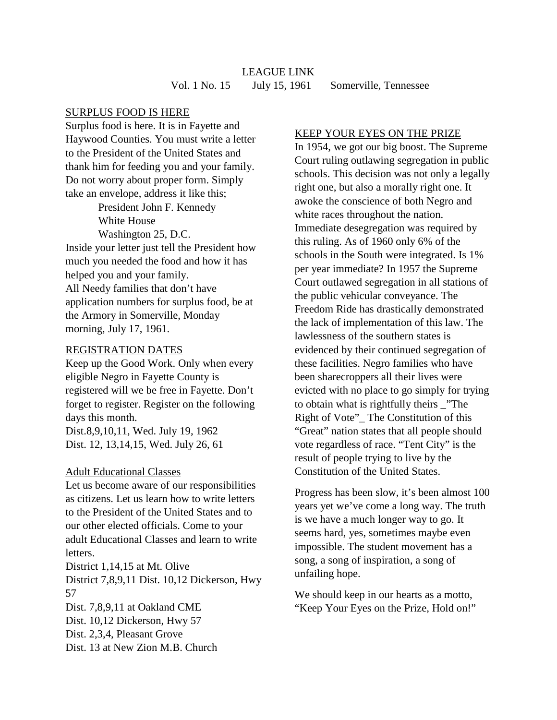# LEAGUE LINK Vol. 1 No. 15 July 15, 1961 Somerville, Tennessee

## SURPLUS FOOD IS HERE

Surplus food is here. It is in Fayette and Haywood Counties. You must write a letter to the President of the United States and thank him for feeding you and your family. Do not worry about proper form. Simply take an envelope, address it like this;

> President John F. Kennedy White House Washington 25, D.C.

Inside your letter just tell the President how much you needed the food and how it has helped you and your family. All Needy families that don't have application numbers for surplus food, be at the Armory in Somerville, Monday morning, July 17, 1961.

### REGISTRATION DATES

Keep up the Good Work. Only when every eligible Negro in Fayette County is registered will we be free in Fayette. Don't forget to register. Register on the following days this month. Dist.8,9,10,11, Wed. July 19, 1962 Dist. 12, 13,14,15, Wed. July 26, 61

#### Adult Educational Classes

Let us become aware of our responsibilities as citizens. Let us learn how to write letters to the President of the United States and to our other elected officials. Come to your adult Educational Classes and learn to write letters.

District 1,14,15 at Mt. Olive District 7,8,9,11 Dist. 10,12 Dickerson, Hwy 57 Dist. 7,8,9,11 at Oakland CME Dist. 10,12 Dickerson, Hwy 57 Dist. 2,3,4, Pleasant Grove

## Dist. 13 at New Zion M.B. Church

### KEEP YOUR EYES ON THE PRIZE

In 1954, we got our big boost. The Supreme Court ruling outlawing segregation in public schools. This decision was not only a legally right one, but also a morally right one. It awoke the conscience of both Negro and white races throughout the nation. Immediate desegregation was required by this ruling. As of 1960 only 6% of the schools in the South were integrated. Is 1% per year immediate? In 1957 the Supreme Court outlawed segregation in all stations of the public vehicular conveyance. The Freedom Ride has drastically demonstrated the lack of implementation of this law. The lawlessness of the southern states is evidenced by their continued segregation of these facilities. Negro families who have been sharecroppers all their lives were evicted with no place to go simply for trying to obtain what is rightfully theirs \_"The Right of Vote"\_ The Constitution of this "Great" nation states that all people should vote regardless of race. "Tent City" is the result of people trying to live by the Constitution of the United States.

Progress has been slow, it's been almost 100 years yet we've come a long way. The truth is we have a much longer way to go. It seems hard, yes, sometimes maybe even impossible. The student movement has a song, a song of inspiration, a song of unfailing hope.

We should keep in our hearts as a motto, "Keep Your Eyes on the Prize, Hold on!"